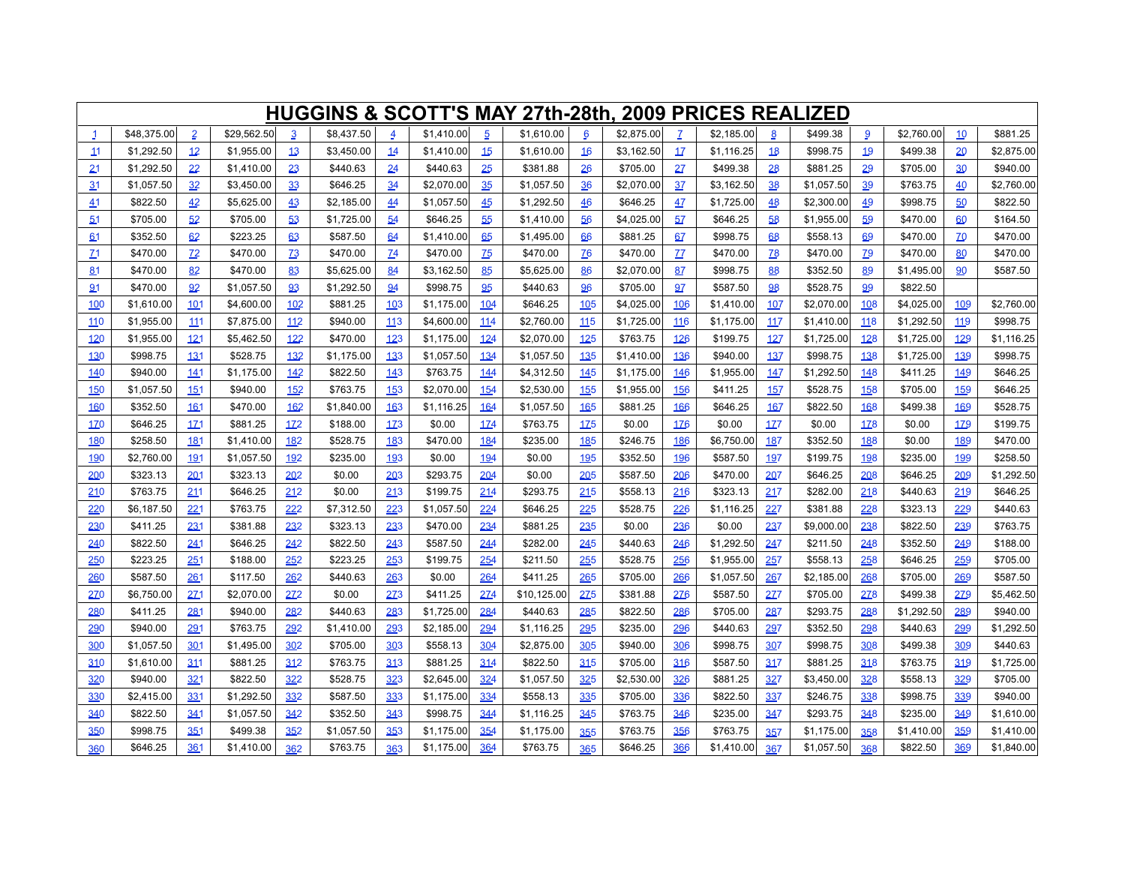|              |             |                |             |           | <b>HUGGINS &amp; SCOTT'S MAY 27th-28th, 2009 PRICES REALIZED</b> |                |            |                |             |                 |            |               |            |              |            |           |            |                |            |
|--------------|-------------|----------------|-------------|-----------|------------------------------------------------------------------|----------------|------------|----------------|-------------|-----------------|------------|---------------|------------|--------------|------------|-----------|------------|----------------|------------|
| $\mathbf{1}$ | \$48,375.00 | $\overline{2}$ | \$29,562.50 | 3         | \$8,437.50                                                       | $\overline{4}$ | \$1,410.00 | $\overline{5}$ | \$1,610.00  | $6\overline{6}$ | \$2,875.00 | $\mathcal{I}$ | \$2,185.00 | $\mathbf{8}$ | \$499.38   | 9         | \$2,760.00 | 10             | \$881.25   |
| 11           | \$1,292.50  | 12             | \$1,955.00  | 13        | \$3,450.00                                                       | 14             | \$1,410.00 | 15             | \$1,610.00  | 16              | \$3,162.50 | 17            | \$1,116.25 | 18           | \$998.75   | 19        | \$499.38   | 20             | \$2,875.00 |
| 21           | \$1,292.50  | 22             | \$1,410.00  | 23        | \$440.63                                                         | 24             | \$440.63   | 25             | \$381.88    | 26              | \$705.00   | 27            | \$499.38   | 28           | \$881.25   | 29        | \$705.00   | 30             | \$940.00   |
| 31           | \$1,057.50  | 32             | \$3,450.00  | 33        | \$646.25                                                         | 34             | \$2,070.00 | 35             | \$1,057.50  | 36              | \$2,070.00 | 37            | \$3,162.50 | 38           | \$1,057.50 | 39        | \$763.75   | 40             | \$2,760.00 |
| 41           | \$822.50    | 42             | \$5,625.00  | 43        | \$2,185.00                                                       | 44             | \$1,057.50 | 45             | \$1,292.50  | 46              | \$646.25   | 47            | \$1,725.00 | 48           | \$2,300.00 | 49        | \$998.75   | 50             | \$822.50   |
| 51           | \$705.00    | 52             | \$705.00    | 53        | \$1,725.00                                                       | 54             | \$646.25   | 55             | \$1,410.00  | 56              | \$4,025.00 | 57            | \$646.25   | 58           | \$1,955.00 | 59        | \$470.00   | 60             | \$164.50   |
| 61           | \$352.50    | 62             | \$223.25    | 63        | \$587.50                                                         | 64             | \$1,410.00 | 65             | \$1,495.00  | 66              | \$881.25   | 67            | \$998.75   | 68           | \$558.13   | 69        | \$470.00   | Z <sub>0</sub> | \$470.00   |
| Z1           | \$470.00    | Z <sub>2</sub> | \$470.00    | <b>Z3</b> | \$470.00                                                         | <b>74</b>      | \$470.00   | Z5             | \$470.00    | Z6              | \$470.00   | $Z\bar{Z}$    | \$470.00   | <u>78</u>    | \$470.00   | <u>79</u> | \$470.00   | 80             | \$470.00   |
| 81           | \$470.00    | 82             | \$470.00    | 83        | \$5,625.00                                                       | 84             | \$3,162.50 | 85             | \$5,625.00  | 86              | \$2,070.00 | 87            | \$998.75   | 88           | \$352.50   | 89        | \$1,495.00 | 90             | \$587.50   |
| 91           | \$470.00    | 92             | \$1,057.50  | 93        | \$1,292.50                                                       | 94             | \$998.75   | 95             | \$440.63    | 96              | \$705.00   | 97            | \$587.50   | 98           | \$528.75   | 99        | \$822.50   |                |            |
| 100          | \$1,610.00  | 101            | \$4,600.00  | 102       | \$881.25                                                         | 103            | \$1,175.00 | 104            | \$646.25    | 105             | \$4,025.00 | 106           | \$1,410.00 | 107          | \$2,070.00 | 108       | \$4,025.00 | 109            | \$2,760.00 |
| 110          | \$1,955.00  | 111            | \$7,875.00  | 112       | \$940.00                                                         | 113            | \$4,600.00 | 114            | \$2,760.00  | 115             | \$1,725.00 | 116           | \$1,175.00 | 117          | \$1,410.00 | 118       | \$1,292.50 | 119            | \$998.75   |
| 120          | \$1,955.00  | 121            | \$5,462.50  | 122       | \$470.00                                                         | 123            | \$1,175.00 | 124            | \$2,070.00  | 125             | \$763.75   | 126           | \$199.75   | 127          | \$1,725.00 | 128       | \$1,725.00 | 129            | \$1,116.25 |
| 130          | \$998.75    | 131            | \$528.75    | 132       | \$1,175.00                                                       | 133            | \$1,057.50 | 134            | \$1,057.50  | 135             | \$1,410.00 | 136           | \$940.00   | 137          | \$998.75   | 138       | \$1,725.00 | 139            | \$998.75   |
| 140          | \$940.00    | <u>141</u>     | \$1,175.00  | 142       | \$822.50                                                         | 143            | \$763.75   | 144            | \$4,312.50  | 145             | \$1,175.00 | 146           | \$1,955.00 | 147          | \$1,292.50 | 148       | \$411.25   | 149            | \$646.25   |
| 150          | \$1,057.50  | 151            | \$940.00    | 152       | \$763.75                                                         | 153            | \$2,070.00 | 154            | \$2,530.00  | 155             | \$1,955.00 | 156           | \$411.25   | 157          | \$528.75   | 158       | \$705.00   | 159            | \$646.25   |
| 160          | \$352.50    | <u>161</u>     | \$470.00    | 162       | \$1,840.00                                                       | 163            | \$1,116.25 | 164            | \$1,057.50  | 165             | \$881.25   | 166           | \$646.25   | 167          | \$822.50   | 168       | \$499.38   | 169            | \$528.75   |
| <b>170</b>   | \$646.25    | 171            | \$881.25    | 172       | \$188.00                                                         | 173            | \$0.00     | 174            | \$763.75    | 175             | \$0.00     | 176           | \$0.00     | 1Z           | \$0.00     | 178       | \$0.00     | 179            | \$199.75   |
| 180          | \$258.50    | 181            | \$1,410.00  | 182       | \$528.75                                                         | 183            | \$470.00   | 184            | \$235.00    | 185             | \$246.75   | 186           | \$6,750.00 | 187          | \$352.50   | 188       | \$0.00     | 189            | \$470.00   |
| 190          | \$2,760.00  | 191            | \$1,057.50  | 192       | \$235.00                                                         | 193            | \$0.00     | 194            | \$0.00      | 195             | \$352.50   | 196           | \$587.50   | 197          | \$199.75   | 198       | \$235.00   | 199            | \$258.50   |
| 200          | \$323.13    | 201            | \$323.13    | 202       | \$0.00                                                           | 203            | \$293.75   | 204            | \$0.00      | 205             | \$587.50   | 206           | \$470.00   | 207          | \$646.25   | 208       | \$646.25   | 209            | \$1,292.50 |
| 210          | \$763.75    | 211            | \$646.25    | 212       | \$0.00                                                           | 213            | \$199.75   | 214            | \$293.75    | 215             | \$558.13   | 216           | \$323.13   | 217          | \$282.00   | 218       | \$440.63   | 219            | \$646.25   |
| 220          | \$6,187.50  | 221            | \$763.75    | 222       | \$7,312.50                                                       | 223            | \$1,057.50 | 224            | \$646.25    | 225             | \$528.75   | 226           | \$1,116.25 | 227          | \$381.88   | 228       | \$323.13   | 229            | \$440.63   |
| 230          | \$411.25    | 231            | \$381.88    | 232       | \$323.13                                                         | 233            | \$470.00   | 234            | \$881.25    | 235             | \$0.00     | 236           | \$0.00     | 237          | \$9,000.00 | 238       | \$822.50   | 239            | \$763.75   |
| 240          | \$822.50    | 241            | \$646.25    | 242       | \$822.50                                                         | 243            | \$587.50   | 244            | \$282.00    | 245             | \$440.63   | 246           | \$1,292.50 | 247          | \$211.50   | 248       | \$352.50   | 249            | \$188.00   |
| 250          | \$223.25    | 251            | \$188.00    | 252       | \$223.25                                                         | 253            | \$199.75   | 254            | \$211.50    | 255             | \$528.75   | 256           | \$1,955.00 | 257          | \$558.13   | 258       | \$646.25   | 259            | \$705.00   |
| 260          | \$587.50    | 261            | \$117.50    | 262       | \$440.63                                                         | 263            | \$0.00     | 264            | \$411.25    | 265             | \$705.00   | 266           | \$1,057.50 | 267          | \$2,185.00 | 268       | \$705.00   | 269            | \$587.50   |
| 270          | \$6,750.00  | 271            | \$2,070.00  | 272       | \$0.00                                                           | 273            | \$411.25   | 274            | \$10,125.00 | 275             | \$381.88   | 276           | \$587.50   | 277          | \$705.00   | 278       | \$499.38   | 279            | \$5,462.50 |
| 280          | \$411.25    | 281            | \$940.00    | 282       | \$440.63                                                         | 283            | \$1,725.00 | 284            | \$440.63    | 285             | \$822.50   | 286           | \$705.00   | 287          | \$293.75   | 288       | \$1,292.50 | 289            | \$940.00   |
| 290          | \$940.00    | 291            | \$763.75    | 292       | \$1,410.00                                                       | 293            | \$2,185.00 | 294            | \$1,116.25  | 295             | \$235.00   | 296           | \$440.63   | 297          | \$352.50   | 298       | \$440.63   | 299            | \$1,292.50 |
| 300          | \$1,057.50  | 301            | \$1,495.00  | 302       | \$705.00                                                         | 303            | \$558.13   | 304            | \$2,875.00  | 305             | \$940.00   | 306           | \$998.75   | 307          | \$998.75   | 308       | \$499.38   | 309            | \$440.63   |
| 310          | \$1,610.00  | 311            | \$881.25    | 312       | \$763.75                                                         | 313            | \$881.25   | 314            | \$822.50    | 315             | \$705.00   | 316           | \$587.50   | 317          | \$881.25   | 318       | \$763.75   | 319            | \$1,725.00 |
| 320          | \$940.00    | 321            | \$822.50    | 322       | \$528.75                                                         | 323            | \$2,645.00 | 324            | \$1,057.50  | 325             | \$2,530.00 | 326           | \$881.25   | 327          | \$3,450.00 | 328       | \$558.13   | 329            | \$705.00   |
| 330          | \$2,415.00  | 331            | \$1,292.50  | 332       | \$587.50                                                         | 333            | \$1,175.00 | 334            | \$558.13    | 335             | \$705.00   | 336           | \$822.50   | 337          | \$246.75   | 338       | \$998.75   | 339            | \$940.00   |
| 340          | \$822.50    | 341            | \$1,057.50  | 342       | \$352.50                                                         | 343            | \$998.75   | 344            | \$1,116.25  | 345             | \$763.75   | 346           | \$235.00   | 347          | \$293.75   | 348       | \$235.00   | 349            | \$1,610.00 |
| 350          | \$998.75    | 351            | \$499.38    | 352       | \$1,057.50                                                       | 353            | \$1,175.00 | 354            | \$1,175.00  | 355             | \$763.75   | 356           | \$763.75   | 357          | \$1,175.00 | 358       | \$1,410.00 | 359            | \$1,410.00 |
| 360          | \$646.25    | 361            | \$1,410.00  | 362       | \$763.75                                                         | 363            | \$1,175.00 | 364            | \$763.75    | 365             | \$646.25   | 366           | \$1,410.00 | 367          | \$1,057.50 | 368       | \$822.50   | 369            | \$1,840.00 |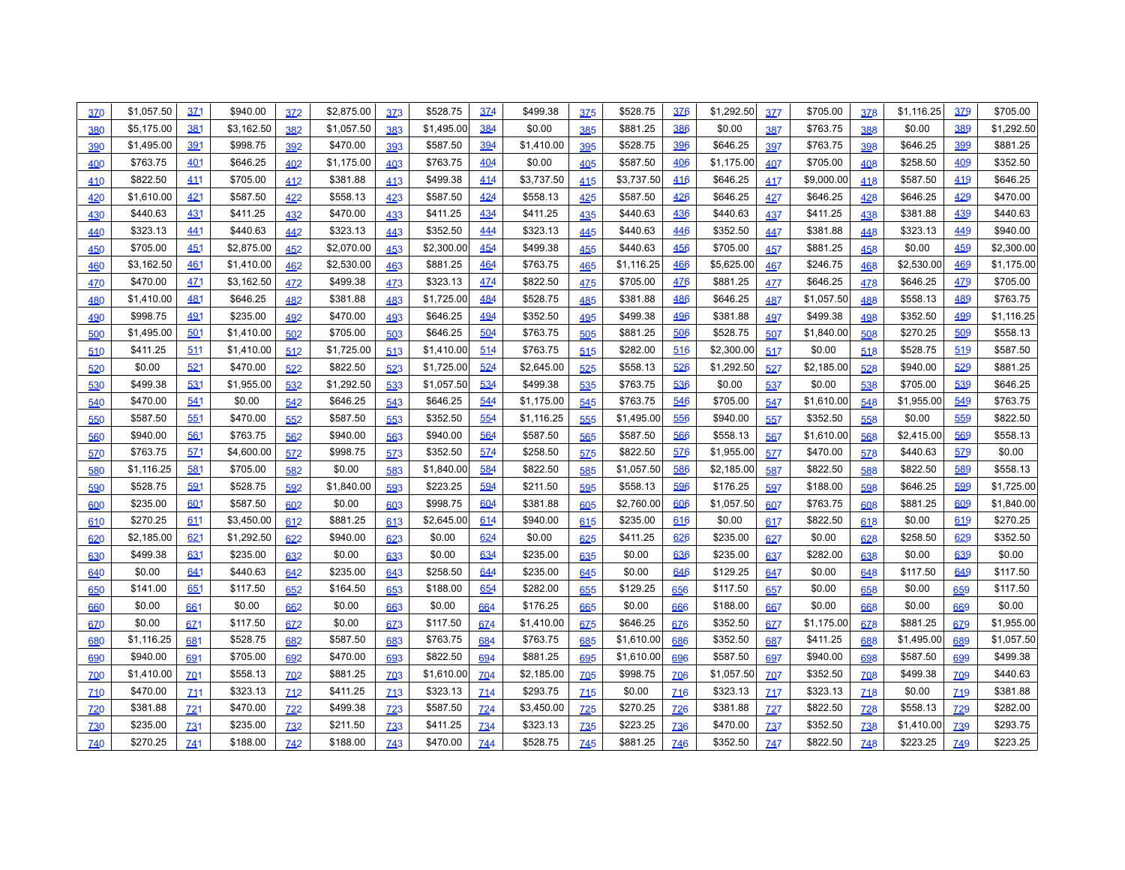| <u>370</u> | \$1,057.50 | 3Z1             | \$940.00   | 372             | \$2,875.00 | 373             | \$528.75   | 374             | \$499.38   | 375        | \$528.75   | 376        | \$1,292.50 | <b>377</b> | \$705.00   | 378        | \$1,116.25 | 379        | \$705.00   |
|------------|------------|-----------------|------------|-----------------|------------|-----------------|------------|-----------------|------------|------------|------------|------------|------------|------------|------------|------------|------------|------------|------------|
| 380        | \$5,175.00 | 381             | \$3,162.50 | 382             | \$1,057.50 | 383             | \$1,495.00 | 384             | \$0.00     | 385        | \$881.25   | 386        | \$0.00     | 387        | \$763.75   | 388        | \$0.00     | 389        | \$1,292.50 |
| 390        | \$1,495.00 | 391             | \$998.75   | 392             | \$470.00   | 393             | \$587.50   | 394             | \$1,410.00 | 395        | \$528.75   | 396        | \$646.25   | 397        | \$763.75   | 398        | \$646.25   | 399        | \$881.25   |
| 400        | \$763.75   | 401             | \$646.25   | 402             | \$1,175.00 | 403             | \$763.75   | 404             | \$0.00     | 405        | \$587.50   | 406        | \$1,175.00 | 407        | \$705.00   | 408        | \$258.50   | 409        | \$352.50   |
| 410        | \$822.50   | 411             | \$705.00   | 412             | \$381.88   | 413             | \$499.38   | 414             | \$3,737.50 | 415        | \$3,737.50 | 416        | \$646.25   | 417        | \$9,000.00 | 418        | \$587.50   | 419        | \$646.25   |
| 420        | \$1,610.00 | 421             | \$587.50   | 422             | \$558.13   | 423             | \$587.50   | 424             | \$558.13   | 425        | \$587.50   | 426        | \$646.25   | 427        | \$646.25   | 428        | \$646.25   | 429        | \$470.00   |
| 430        | \$440.63   | 431             | \$411.25   | 432             | \$470.00   | 433             | \$411.25   | 434             | \$411.25   | 435        | \$440.63   | 436        | \$440.63   | 437        | \$411.25   | 438        | \$381.88   | 439        | \$440.63   |
| 440        | \$323.13   | 441             | \$440.63   | 442             | \$323.13   | 443             | \$352.50   | 444             | \$323.13   | 445        | \$440.63   | 446        | \$352.50   | 447        | \$381.88   | 448        | \$323.13   | 449        | \$940.00   |
| 450        | \$705.00   | 451             | \$2,875.00 | 452             | \$2,070.00 | 453             | \$2,300.00 | 454             | \$499.38   | 455        | \$440.63   | 456        | \$705.00   | 457        | \$881.25   | 458        | \$0.00     | 459        | \$2,300.00 |
| 460        | \$3,162.50 | 461             | \$1,410.00 | 462             | \$2,530.00 | 463             | \$881.25   | 464             | \$763.75   | 465        | \$1,116.25 | 466        | \$5,625.00 | 467        | \$246.75   | 468        | \$2,530.00 | 469        | \$1,175.00 |
| <b>470</b> | \$470.00   | <u>471</u>      | \$3,162.50 | 472             | \$499.38   | 4Z <sub>3</sub> | \$323.13   | 474             | \$822.50   | 475        | \$705.00   | 476        | \$881.25   | 427        | \$646.25   | 478        | \$646.25   | 479        | \$705.00   |
| 480        | \$1,410.00 | 481             | \$646.25   | 482             | \$381.88   | 483             | \$1,725.00 | 484             | \$528.75   | 485        | \$381.88   | 486        | \$646.25   | 487        | \$1,057.50 | 488        | \$558.13   | 489        | \$763.75   |
| 490        | \$998.75   | 491             | \$235.00   | 492             | \$470.00   | 493             | \$646.25   | 494             | \$352.50   | 495        | \$499.38   | 496        | \$381.88   | 497        | \$499.38   | 498        | \$352.50   | 499        | \$1,116.25 |
| 500        | \$1,495.00 | 501             | \$1,410.00 | 502             | \$705.00   | 503             | \$646.25   | 504             | \$763.75   | 505        | \$881.25   | 506        | \$528.75   | 507        | \$1,840.00 | 508        | \$270.25   | 509        | \$558.13   |
| 510        | \$411.25   | 511             | \$1,410.00 | 512             | \$1,725.00 | 513             | \$1,410.00 | 514             | \$763.75   | 515        | \$282.00   | 516        | \$2,300.00 | 517        | \$0.00     | 518        | \$528.75   | 519        | \$587.50   |
| 520        | \$0.00     | 521             | \$470.00   | 522             | \$822.50   | 523             | \$1,725.00 | 524             | \$2,645.00 | 525        | \$558.13   | 526        | \$1,292.50 | 527        | \$2,185.00 | 528        | \$940.00   | 529        | \$881.25   |
| 530        | \$499.38   | 531             | \$1,955.00 | 532             | \$1,292.50 | 533             | \$1,057.50 | 534             | \$499.38   | 535        | \$763.75   | 536        | \$0.00     | 537        | \$0.00     | 538        | \$705.00   | 539        | \$646.25   |
| 540        | \$470.00   | 541             | \$0.00     | 542             | \$646.25   | 543             | \$646.25   | 544             | \$1,175.00 | 545        | \$763.75   | 546        | \$705.00   | 547        | \$1,610.00 | 548        | \$1,955.00 | 549        | \$763.75   |
| 550        | \$587.50   | 551             | \$470.00   | 552             | \$587.50   | 553             | \$352.50   | 554             | \$1,116.25 | 555        | \$1,495.00 | 556        | \$940.00   | 557        | \$352.50   | 558        | \$0.00     | 559        | \$822.50   |
| 560        | \$940.00   | 561             | \$763.75   | 562             | \$940.00   | 563             | \$940.00   | 564             | \$587.50   | 565        | \$587.50   | 566        | \$558.13   | 567        | \$1,610.00 | 568        | \$2,415.00 | 569        | \$558.13   |
| 570        | \$763.75   | 571             | \$4,600.00 | 572             | \$998.75   | 573             | \$352.50   | 574             | \$258.50   | <b>575</b> | \$822.50   | 576        | \$1,955.00 | 5Z7        | \$470.00   | 578        | \$440.63   | 579        | \$0.00     |
| 580        | \$1,116.25 | 581             | \$705.00   | 582             | \$0.00     | 583             | \$1,840.00 | 584             | \$822.50   | 585        | \$1,057.50 | 586        | \$2,185.00 | 587        | \$822.50   | 588        | \$822.50   | 589        | \$558.13   |
| 590        | \$528.75   | 591             | \$528.75   | 592             | \$1,840.00 | 593             | \$223.25   | 594             | \$211.50   | 595        | \$558.13   | 596        | \$176.25   | 597        | \$188.00   | 598        | \$646.25   | 599        | \$1,725.00 |
| 600        | \$235.00   | 601             | \$587.50   | 602             | \$0.00     | 603             | \$998.75   | 604             | \$381.88   | 605        | \$2,760.00 | 606        | \$1,057.50 | 607        | \$763.75   | 608        | \$881.25   | 609        | \$1,840.00 |
| 610        | \$270.25   | 611             | \$3,450.00 | 612             | \$881.25   | 613             | \$2,645.00 | 614             | \$940.00   | 615        | \$235.00   | 616        | \$0.00     | 617        | \$822.50   | 618        | \$0.00     | 619        | \$270.25   |
| 620        | \$2,185.00 | 621             | \$1,292.50 | 622             | \$940.00   | 623             | \$0.00     | 624             | \$0.00     | 625        | \$411.25   | 626        | \$235.00   | 627        | \$0.00     | 628        | \$258.50   | 629        | \$352.50   |
| 630        | \$499.38   | 631             | \$235.00   | 632             | \$0.00     | 633             | \$0.00     | 634             | \$235.00   | 635        | \$0.00     | 636        | \$235.00   | 637        | \$282.00   | 638        | \$0.00     | 639        | \$0.00     |
| 640        | \$0.00     | 641             | \$440.63   | 642             | \$235.00   | 643             | \$258.50   | 644             | \$235.00   | 645        | \$0.00     | 646        | \$129.25   | 647        | \$0.00     | 648        | \$117.50   | 649        | \$117.50   |
| 650        | \$141.00   | 651             | \$117.50   | 652             | \$164.50   | 653             | \$188.00   | 654             | \$282.00   | 655        | \$129.25   | 656        | \$117.50   | 657        | \$0.00     | 658        | \$0.00     | 659        | \$117.50   |
| 660        | \$0.00     | 661             | \$0.00     | 662             | \$0.00     | 663             | \$0.00     | 664             | \$176.25   | 665        | \$0.00     | 666        | \$188.00   | 667        | \$0.00     | 668        | \$0.00     | 669        | \$0.00     |
| 6Z0        | \$0.00     | 6Z1             | \$117.50   | 672             | \$0.00     | 6Z3             | \$117.50   | 674             | \$1,410.00 | 6Z5        | \$646.25   | 6Z6        | \$352.50   | 6Z7        | \$1,175.00 | 678        | \$881.25   | 6Z9        | \$1,955.00 |
| 680        | \$1,116.25 | 681             | \$528.75   | 682             | \$587.50   | 683             | \$763.75   | 684             | \$763.75   | 685        | \$1,610.00 | 686        | \$352.50   | 687        | \$411.25   | 688        | \$1,495.00 | 689        | \$1,057.50 |
| 690        | \$940.00   | 691             | \$705.00   | 692             | \$470.00   | 693             | \$822.50   | 694             | \$881.25   | 695        | \$1,610.00 | 696        | \$587.50   | 697        | \$940.00   | 698        | \$587.50   | 699        | \$499.38   |
| <b>Z00</b> | \$1,410.00 | Z <sub>01</sub> | \$558.13   | Z <sub>02</sub> | \$881.25   | <b>Z03</b>      | \$1,610.00 | Z <sub>04</sub> | \$2,185.00 | <b>Z05</b> | \$998.75   | <b>Z06</b> | \$1,057.50 | <b>ZQ7</b> | \$352.50   | <b>Z08</b> | \$499.38   | 709        | \$440.63   |
| Z10        | \$470.00   | Z11             | \$323.13   | 712             | \$411.25   | Z13             | \$323.13   | Z14             | \$293.75   | Z15        | \$0.00     | Z16        | \$323.13   | 717        | \$323.13   | Z18        | \$0.00     | <b>Z19</b> | \$381.88   |
| <b>Z20</b> | \$381.88   | Z <sub>21</sub> | \$470.00   | Z <sub>22</sub> | \$499.38   | 723             | \$587.50   | <b>Z24</b>      | \$3,450.00 | <b>725</b> | \$270.25   | <b>Z26</b> | \$381.88   | 727        | \$822.50   | 728        | \$558.13   | <b>Z29</b> | \$282.00   |
| <b>Z30</b> | \$235.00   | Z <sub>31</sub> | \$235.00   | <b>Z32</b>      | \$211.50   | 733             | \$411.25   | 734             | \$323.13   | <b>Z35</b> | \$223.25   | <b>Z36</b> | \$470.00   | <b>Z37</b> | \$352.50   | <b>Z38</b> | \$1,410.00 | <b>Z39</b> | \$293.75   |
| 740        | \$270.25   | 741             | \$188.00   | 742             | \$188.00   | 743             | \$470.00   | <b>744</b>      | \$528.75   | 745        | \$881.25   | 746        | \$352.50   | 747        | \$822.50   | 748        | \$223.25   | 749        | \$223.25   |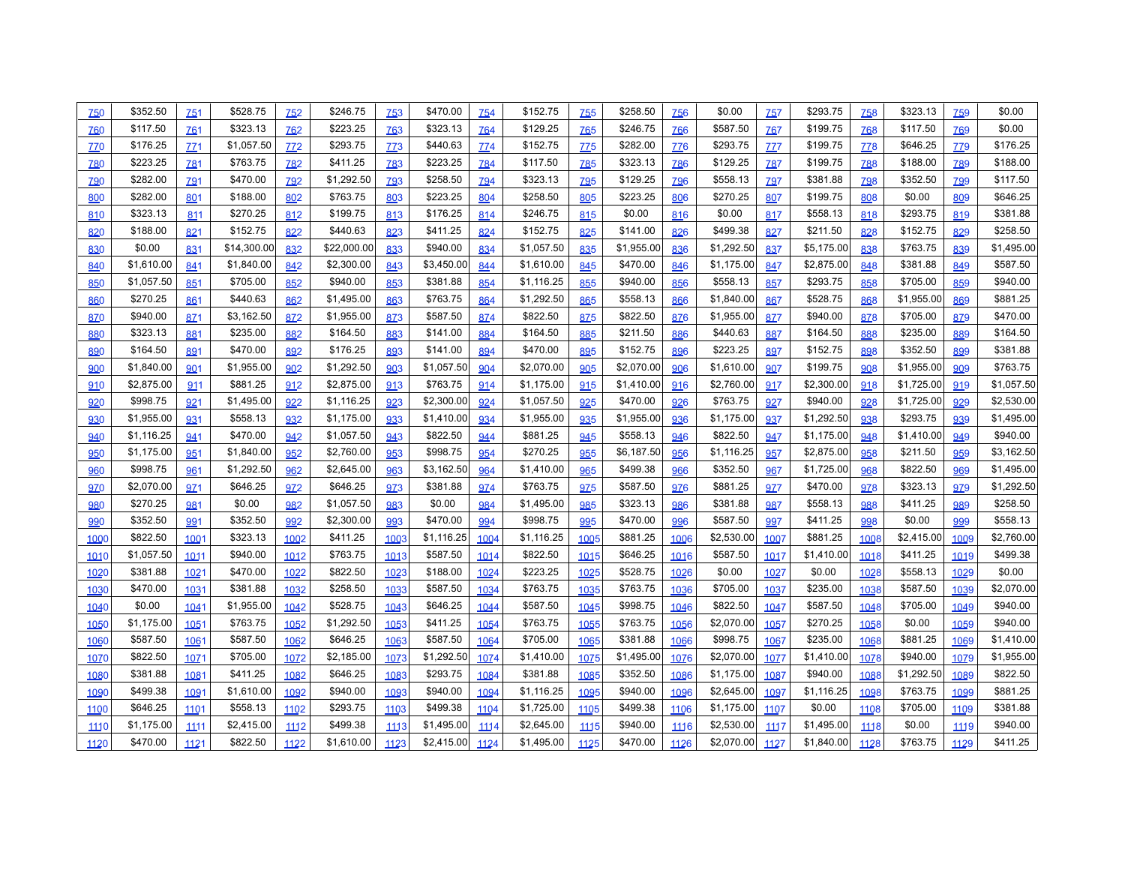| 750        | \$352.50   | <b>Z51</b>        | \$528.75    | <b>Z52</b> | \$246.75    | 753        | \$470.00   | <b>Z54</b> | \$152.75   | <b>755</b> | \$258.50   | 756        | \$0.00     | <b>Z57</b>  | \$293.75   | <b>Z58</b> | \$323.13   | <b>Z59</b> | \$0.00     |
|------------|------------|-------------------|-------------|------------|-------------|------------|------------|------------|------------|------------|------------|------------|------------|-------------|------------|------------|------------|------------|------------|
| <b>Z60</b> | \$117.50   | <b>Z61</b>        | \$323.13    | <b>762</b> | \$223.25    | 763        | \$323.13   | 764        | \$129.25   | 765        | \$246.75   | 766        | \$587.50   | 767         | \$199.75   | 768        | \$117.50   | 769        | \$0.00     |
| <b>ZZ0</b> | \$176.25   | Z <sub>21</sub>   | \$1,057.50  | ZZ2        | \$293.75    | <b>ZZ3</b> | \$440.63   | 774        | \$152.75   | <b>ZZ5</b> | \$282.00   | <b>ZZ6</b> | \$293.75   | <u>77</u> 7 | \$199.75   | <b>778</b> | \$646.25   | 779        | \$176.25   |
| 780        | \$223.25   | <b>Z81</b>        | \$763.75    | <b>Z82</b> | \$411.25    | <b>783</b> | \$223.25   | 784        | \$117.50   | <b>785</b> | \$323.13   | 786        | \$129.25   | <b>787</b>  | \$199.75   | 788        | \$188.00   | 789        | \$188.00   |
| <b>Z90</b> | \$282.00   | <b>Z91</b>        | \$470.00    | <b>Z92</b> | \$1,292.50  | <b>793</b> | \$258.50   | <b>Z94</b> | \$323.13   | <b>795</b> | \$129.25   | <b>796</b> | \$558.13   | <b>797</b>  | \$381.88   | <b>798</b> | \$352.50   | 799        | \$117.50   |
| 800        | \$282.00   | 801               | \$188.00    | 802        | \$763.75    | 803        | \$223.25   | 804        | \$258.50   | 805        | \$223.25   | 806        | \$270.25   | 807         | \$199.75   | 808        | \$0.00     | 809        | \$646.25   |
| 810        | \$323.13   | 811               | \$270.25    | 812        | \$199.75    | 813        | \$176.25   | 814        | \$246.75   | 815        | \$0.00     | 816        | \$0.00     | 817         | \$558.13   | 818        | \$293.75   | 819        | \$381.88   |
| 820        | \$188.00   | 821               | \$152.75    | 822        | \$440.63    | 823        | \$411.25   | 824        | \$152.75   | 825        | \$141.00   | 826        | \$499.38   | 827         | \$211.50   | 828        | \$152.75   | 829        | \$258.50   |
| 830        | \$0.00     | 831               | \$14,300.00 | 832        | \$22,000.00 | 833        | \$940.00   | 834        | \$1,057.50 | 835        | \$1,955.00 | 836        | \$1,292.50 | 837         | \$5,175.00 | 838        | \$763.75   | 839        | \$1,495.00 |
| 840        | \$1,610.00 | 841               | \$1,840.00  | 842        | \$2,300.00  | 843        | \$3,450.00 | 844        | \$1,610.00 | 845        | \$470.00   | 846        | \$1,175.00 | 847         | \$2,875.00 | 848        | \$381.88   | 849        | \$587.50   |
| 850        | \$1,057.50 | 851               | \$705.00    | 852        | \$940.00    | 853        | \$381.88   | 854        | \$1,116.25 | 855        | \$940.00   | 856        | \$558.13   | 857         | \$293.75   | 858        | \$705.00   | 859        | \$940.00   |
| 860        | \$270.25   | 861               | \$440.63    | 862        | \$1,495.00  | 863        | \$763.75   | 864        | \$1,292.50 | 865        | \$558.13   | 866        | \$1,840.00 | 867         | \$528.75   | 868        | \$1,955.00 | 869        | \$881.25   |
| 870        | \$940.00   | 8Z1               | \$3,162.50  | 872        | \$1,955.00  | <b>873</b> | \$587.50   | 874        | \$822.50   | <b>875</b> | \$822.50   | 876        | \$1,955.00 | <b>8Z7</b>  | \$940.00   | 878        | \$705.00   | <b>879</b> | \$470.00   |
| 880        | \$323.13   | 881               | \$235.00    | 882        | \$164.50    | 883        | \$141.00   | 884        | \$164.50   | 885        | \$211.50   | 886        | \$440.63   | 887         | \$164.50   | 888        | \$235.00   | 889        | \$164.50   |
| 890        | \$164.50   | 891               | \$470.00    | 892        | \$176.25    | 893        | \$141.00   | 894        | \$470.00   | 895        | \$152.75   | 896        | \$223.25   | 897         | \$152.75   | 898        | \$352.50   | 899        | \$381.88   |
| 900        | \$1,840.00 | 901               | \$1,955.00  | 902        | \$1,292.50  | 903        | \$1,057.50 | 904        | \$2,070.00 | 905        | \$2,070.00 | 906        | \$1,610.00 | 907         | \$199.75   | 908        | \$1,955.00 | 909        | \$763.75   |
| 910        | \$2,875.00 | 911               | \$881.25    | 912        | \$2,875.00  | 913        | \$763.75   | 914        | \$1,175.00 | 915        | \$1,410.00 | 916        | \$2,760.00 | 917         | \$2,300.00 | 918        | \$1,725.00 | 919        | \$1,057.50 |
| 920        | \$998.75   | 921               | \$1,495.00  | 922        | \$1,116.25  | 923        | \$2,300.00 | 924        | \$1,057.50 | 925        | \$470.00   | 926        | \$763.75   | 927         | \$940.00   | 928        | \$1,725.00 | 929        | \$2,530.00 |
| 930        | \$1,955.00 | 931               | \$558.13    | 932        | \$1,175.00  | 933        | \$1,410.00 | 934        | \$1,955.00 | 935        | \$1,955.00 | 936        | \$1,175.00 | 937         | \$1,292.50 | 938        | \$293.75   | 939        | \$1,495.00 |
| 940        | \$1,116.25 | 941               | \$470.00    | 942        | \$1,057.50  | 943        | \$822.50   | 944        | \$881.25   | 945        | \$558.13   | 946        | \$822.50   | 947         | \$1,175.00 | 948        | \$1,410.00 | 949        | \$940.00   |
| 950        | \$1,175.00 | 951               | \$1,840.00  | 952        | \$2,760.00  | 953        | \$998.75   | 954        | \$270.25   | 955        | \$6,187.50 | 956        | \$1,116.25 | 957         | \$2,875.00 | 958        | \$211.50   | 959        | \$3,162.50 |
| 960        | \$998.75   | 961               | \$1,292.50  | 962        | \$2,645.00  | 963        | \$3,162.50 | 964        | \$1,410.00 | 965        | \$499.38   | 966        | \$352.50   | 967         | \$1,725.00 | 968        | \$822.50   | 969        | \$1,495.00 |
| 970        | \$2,070.00 | 9Z <sub>1</sub>   | \$646.25    | 972        | \$646.25    | 973        | \$381.88   | 974        | \$763.75   | 975        | \$587.50   | 976        | \$881.25   | 9Z7         | \$470.00   | 978        | \$323.13   | 979        | \$1,292.50 |
| 980        | \$270.25   | 981               | \$0.00      | 982        | \$1,057.50  | 983        | \$0.00     | 984        | \$1,495.00 | 985        | \$323.13   | 986        | \$381.88   | 987         | \$558.13   | 988        | \$411.25   | 989        | \$258.50   |
| 990        | \$352.50   | 991               | \$352.50    | 992        | \$2,300.00  | 993        | \$470.00   | 994        | \$998.75   | 995        | \$470.00   | 996        | \$587.50   | 997         | \$411.25   | 998        | \$0.00     | 999        | \$558.13   |
| 1000       | \$822.50   | 100 <sup>1</sup>  | \$323.13    | 1002       | \$411.25    | 1003       | \$1,116.25 | 1004       | \$1,116.25 | 1005       | \$881.25   | 1006       | \$2,530.00 | 1007        | \$881.25   | 1008       | \$2,415.00 | 1009       | \$2,760.00 |
| 1010       | \$1,057.50 | 1011              | \$940.00    | 1012       | \$763.75    | 1013       | \$587.50   | 1014       | \$822.50   | 1015       | \$646.25   | 1016       | \$587.50   | 1017        | \$1,410.00 | 1018       | \$411.25   | 1019       | \$499.38   |
| 1020       | \$381.88   | 102 <sup>1</sup>  | \$470.00    | 1022       | \$822.50    | 1023       | \$188.00   | 1024       | \$223.25   | 1025       | \$528.75   | 1026       | \$0.00     | 1027        | \$0.00     | 1028       | \$558.13   | 1029       | \$0.00     |
| 1030       | \$470.00   | 103 <sup>1</sup>  | \$381.88    | 1032       | \$258.50    | 1033       | \$587.50   | 1034       | \$763.75   | 1035       | \$763.75   | 1036       | \$705.00   | 1037        | \$235.00   | 1038       | \$587.50   | 1039       | \$2,070.00 |
| 1040       | \$0.00     | 1041              | \$1,955.00  | 1042       | \$528.75    | 1043       | \$646.25   | 1044       | \$587.50   | 1045       | \$998.75   | 1046       | \$822.50   | 1047        | \$587.50   | 1048       | \$705.00   | 1049       | \$940.00   |
| 1050       | \$1,175.00 | 105 <sup>1</sup>  | \$763.75    | 1052       | \$1,292.50  | 1053       | \$411.25   | 1054       | \$763.75   | 1055       | \$763.75   | 1056       | \$2,070.00 | 1057        | \$270.25   | 1058       | \$0.00     | 1059       | \$940.00   |
| 1060       | \$587.50   | 1061              | \$587.50    | 1062       | \$646.25    | 1063       | \$587.50   | 1064       | \$705.00   | 1065       | \$381.88   | 1066       | \$998.75   | 1067        | \$235.00   | 1068       | \$881.25   | 1069       | \$1,410.00 |
| 1070       | \$822.50   | 10 <sub>Z</sub> 1 | \$705.00    | 1072       | \$2,185.00  | 1073       | \$1,292.50 | 1074       | \$1,410.00 | 1075       | \$1,495.00 | 1076       | \$2,070.00 | 10Z7        | \$1,410.00 | 1078       | \$940.00   | 1079       | \$1,955.00 |
| 1080       | \$381.88   | 1081              | \$411.25    | 1082       | \$646.25    | 1083       | \$293.75   | 1084       | \$381.88   | 1085       | \$352.50   | 1086       | \$1,175.00 | 1087        | \$940.00   | 1088       | \$1,292.50 | 1089       | \$822.50   |
| 1090       | \$499.38   | 1091              | \$1,610.00  | 1092       | \$940.00    | 1093       | \$940.00   | 1094       | \$1,116.25 | 1095       | \$940.00   | 1096       | \$2,645.00 | 1097        | \$1,116.25 | 1098       | \$763.75   | 1099       | \$881.25   |
| 1100       | \$646.25   | 1101              | \$558.13    | 1102       | \$293.75    | 1103       | \$499.38   | 1104       | \$1,725.00 | 1105       | \$499.38   | 1106       | \$1,175.00 | 1107        | \$0.00     | 1108       | \$705.00   | 1109       | \$381.88   |
| 1110       | \$1,175.00 | 1111              | \$2,415.00  | 1112       | \$499.38    | 1113       | \$1,495.00 | 1114       | \$2,645.00 | 1115       | \$940.00   | 1116       | \$2,530.00 | 1117        | \$1,495.00 | 1118       | \$0.00     | 1119       | \$940.00   |
| 1120       | \$470.00   | 1121              | \$822.50    | 1122       | \$1,610.00  | 1123       | \$2,415.00 | 1124       | \$1,495.00 | 1125       | \$470.00   | 1126       | \$2,070.00 | 1127        | \$1,840.00 | 1128       | \$763.75   | 1129       | \$411.25   |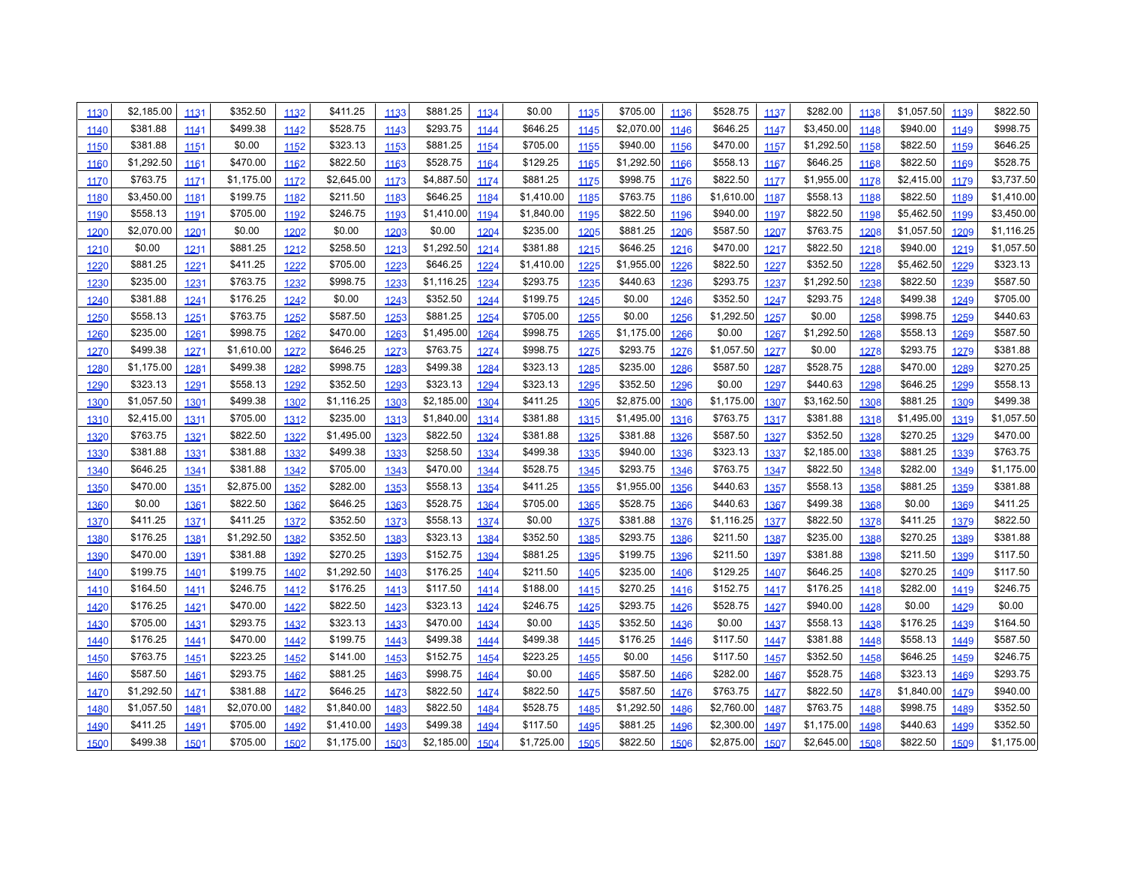| 1130 | \$2,185.00 | 1131             | \$352.50   | 1132 | \$411.25   | 1133 | \$881.25   | 1134 | \$0.00     | 1135 | \$705.00   | 1136 | \$528.75   | 1137 | \$282.00   | 1138 | \$1,057.50 | 1139 | \$822.50   |
|------|------------|------------------|------------|------|------------|------|------------|------|------------|------|------------|------|------------|------|------------|------|------------|------|------------|
| 1140 | \$381.88   | 1141             | \$499.38   | 1142 | \$528.75   | 1143 | \$293.75   | 1144 | \$646.25   | 1145 | \$2,070.00 | 1146 | \$646.25   | 1147 | \$3,450.00 | 1148 | \$940.00   | 1149 | \$998.75   |
| 1150 | \$381.88   | 1151             | \$0.00     | 1152 | \$323.13   | 1153 | \$881.25   | 1154 | \$705.00   | 1155 | \$940.00   | 1156 | \$470.00   | 1157 | \$1,292.50 | 1158 | \$822.50   | 1159 | \$646.25   |
| 1160 | \$1,292.50 | 1161             | \$470.00   | 1162 | \$822.50   | 1163 | \$528.75   | 1164 | \$129.25   | 1165 | \$1,292.50 | 1166 | \$558.13   | 1167 | \$646.25   | 1168 | \$822.50   | 1169 | \$528.75   |
| 1170 | \$763.75   | 1171             | \$1,175.00 | 1172 | \$2,645.00 | 1173 | \$4,887.50 | 1174 | \$881.25   | 1175 | \$998.75   | 1176 | \$822.50   | 1177 | \$1,955.00 | 1178 | \$2,415.00 | 1179 | \$3,737.50 |
| 1180 | \$3,450.00 | 1181             | \$199.75   | 1182 | \$211.50   | 1183 | \$646.25   | 1184 | \$1,410.00 | 1185 | \$763.75   | 1186 | \$1,610.00 | 1187 | \$558.13   | 1188 | \$822.50   | 1189 | \$1,410.00 |
| 1190 | \$558.13   | 1191             | \$705.00   | 1192 | \$246.75   | 1193 | \$1,410.00 | 1194 | \$1,840.00 | 1195 | \$822.50   | 1196 | \$940.00   | 1197 | \$822.50   | 1198 | \$5,462.50 | 1199 | \$3,450.00 |
| 1200 | \$2,070.00 | 1201             | \$0.00     | 1202 | \$0.00     | 1203 | \$0.00     | 1204 | \$235.00   | 1205 | \$881.25   | 1206 | \$587.50   | 1207 | \$763.75   | 1208 | \$1,057.50 | 1209 | \$1,116.25 |
| 1210 | \$0.00     | 1211             | \$881.25   | 1212 | \$258.50   | 1213 | \$1,292.50 | 1214 | \$381.88   | 1215 | \$646.25   | 1216 | \$470.00   | 1217 | \$822.50   | 1218 | \$940.00   | 1219 | \$1,057.50 |
| 1220 | \$881.25   | 1221             | \$411.25   | 1222 | \$705.00   | 1223 | \$646.25   | 1224 | \$1,410.00 | 1225 | \$1,955.00 | 1226 | \$822.50   | 1227 | \$352.50   | 1228 | \$5,462.50 | 1229 | \$323.13   |
| 1230 | \$235.00   | 1231             | \$763.75   | 1232 | \$998.75   | 1233 | \$1,116.25 | 1234 | \$293.75   | 1235 | \$440.63   | 1236 | \$293.75   | 1237 | \$1,292.50 | 1238 | \$822.50   | 1239 | \$587.50   |
| 1240 | \$381.88   | 1241             | \$176.25   | 1242 | \$0.00     | 1243 | \$352.50   | 1244 | \$199.75   | 1245 | \$0.00     | 1246 | \$352.50   | 1247 | \$293.75   | 1248 | \$499.38   | 1249 | \$705.00   |
| 1250 | \$558.13   | 1251             | \$763.75   | 1252 | \$587.50   | 1253 | \$881.25   | 1254 | \$705.00   | 1255 | \$0.00     | 1256 | \$1,292.50 | 1257 | \$0.00     | 1258 | \$998.75   | 1259 | \$440.63   |
| 1260 | \$235.00   | 1261             | \$998.75   | 1262 | \$470.00   | 1263 | \$1,495.00 | 1264 | \$998.75   | 1265 | \$1,175.00 | 1266 | \$0.00     | 1267 | \$1,292.50 | 1268 | \$558.13   | 1269 | \$587.50   |
| 1270 | \$499.38   | 1271             | \$1,610.00 | 1272 | \$646.25   | 1273 | \$763.75   | 1274 | \$998.75   | 1275 | \$293.75   | 1276 | \$1,057.50 | 1277 | \$0.00     | 1278 | \$293.75   | 1279 | \$381.88   |
| 1280 | \$1,175.00 | 1281             | \$499.38   | 1282 | \$998.75   | 1283 | \$499.38   | 1284 | \$323.13   | 1285 | \$235.00   | 1286 | \$587.50   | 1287 | \$528.75   | 1288 | \$470.00   | 1289 | \$270.25   |
| 1290 | \$323.13   | 1291             | \$558.13   | 1292 | \$352.50   | 1293 | \$323.13   | 1294 | \$323.13   | 1295 | \$352.50   | 1296 | \$0.00     | 1297 | \$440.63   | 1298 | \$646.25   | 1299 | \$558.13   |
| 1300 | \$1,057.50 | 1301             | \$499.38   | 1302 | \$1,116.25 | 1303 | \$2,185.00 | 1304 | \$411.25   | 1305 | \$2,875.00 | 1306 | \$1,175.00 | 1307 | \$3,162.50 | 1308 | \$881.25   | 1309 | \$499.38   |
| 1310 | \$2,415.00 | 1311             | \$705.00   | 1312 | \$235.00   | 1313 | \$1,840.00 | 1314 | \$381.88   | 1315 | \$1,495.00 | 1316 | \$763.75   | 1317 | \$381.88   | 1318 | \$1,495.00 | 1319 | \$1,057.50 |
| 1320 | \$763.75   | 1321             | \$822.50   | 1322 | \$1,495.00 | 1323 | \$822.50   | 1324 | \$381.88   | 1325 | \$381.88   | 1326 | \$587.50   | 1327 | \$352.50   | 1328 | \$270.25   | 1329 | \$470.00   |
| 1330 | \$381.88   | 1331             | \$381.88   | 1332 | \$499.38   | 1333 | \$258.50   | 1334 | \$499.38   | 1335 | \$940.00   | 1336 | \$323.13   | 1337 | \$2,185.00 | 1338 | \$881.25   | 1339 | \$763.75   |
| 1340 | \$646.25   | 1341             | \$381.88   | 1342 | \$705.00   | 1343 | \$470.00   | 1344 | \$528.75   | 1345 | \$293.75   | 1346 | \$763.75   | 1347 | \$822.50   | 1348 | \$282.00   | 1349 | \$1,175.00 |
| 1350 | \$470.00   | 1351             | \$2,875.00 | 1352 | \$282.00   | 1353 | \$558.13   | 1354 | \$411.25   | 1355 | \$1,955.00 | 1356 | \$440.63   | 1357 | \$558.13   | 1358 | \$881.25   | 1359 | \$381.88   |
| 1360 | \$0.00     | 1361             | \$822.50   | 1362 | \$646.25   | 1363 | \$528.75   | 1364 | \$705.00   | 1365 | \$528.75   | 1366 | \$440.63   | 1367 | \$499.38   | 1368 | \$0.00     | 1369 | \$411.25   |
| 1370 | \$411.25   | 1371             | \$411.25   | 1372 | \$352.50   | 1373 | \$558.13   | 1374 | \$0.00     | 1375 | \$381.88   | 1376 | \$1,116.25 | 1377 | \$822.50   | 1378 | \$411.25   | 1379 | \$822.50   |
| 1380 | \$176.25   | 1381             | \$1,292.50 | 1382 | \$352.50   | 1383 | \$323.13   | 1384 | \$352.50   | 1385 | \$293.75   | 1386 | \$211.50   | 1387 | \$235.00   | 1388 | \$270.25   | 1389 | \$381.88   |
| 1390 | \$470.00   | 1391             | \$381.88   | 1392 | \$270.25   | 1393 | \$152.75   | 1394 | \$881.25   | 1395 | \$199.75   | 1396 | \$211.50   | 1397 | \$381.88   | 1398 | \$211.50   | 1399 | \$117.50   |
| 1400 | \$199.75   | 140 <sup>1</sup> | \$199.75   | 1402 | \$1,292.50 | 1403 | \$176.25   | 1404 | \$211.50   | 1405 | \$235.00   | 1406 | \$129.25   | 1407 | \$646.25   | 1408 | \$270.25   | 1409 | \$117.50   |
| 1410 | \$164.50   | 1411             | \$246.75   | 1412 | \$176.25   | 1413 | \$117.50   | 1414 | \$188.00   | 1415 | \$270.25   | 1416 | \$152.75   | 1417 | \$176.25   | 1418 | \$282.00   | 1419 | \$246.75   |
| 1420 | \$176.25   | 1421             | \$470.00   | 1422 | \$822.50   | 1423 | \$323.13   | 1424 | \$246.75   | 1425 | \$293.75   | 1426 | \$528.75   | 1427 | \$940.00   | 1428 | \$0.00     | 1429 | \$0.00     |
| 1430 | \$705.00   | 1431             | \$293.75   | 1432 | \$323.13   | 1433 | \$470.00   | 1434 | \$0.00     | 1435 | \$352.50   | 1436 | \$0.00     | 1437 | \$558.13   | 1438 | \$176.25   | 1439 | \$164.50   |
| 1440 | \$176.25   | 1441             | \$470.00   | 1442 | \$199.75   | 1443 | \$499.38   | 1444 | \$499.38   | 1445 | \$176.25   | 1446 | \$117.50   | 1447 | \$381.88   | 1448 | \$558.13   | 1449 | \$587.50   |
| 1450 | \$763.75   | 1451             | \$223.25   | 1452 | \$141.00   | 1453 | \$152.75   | 1454 | \$223.25   | 1455 | \$0.00     | 1456 | \$117.50   | 1457 | \$352.50   | 1458 | \$646.25   | 1459 | \$246.75   |
| 1460 | \$587.50   | 1461             | \$293.75   | 1462 | \$881.25   | 1463 | \$998.75   | 1464 | \$0.00     | 1465 | \$587.50   | 1466 | \$282.00   | 1467 | \$528.75   | 1468 | \$323.13   | 1469 | \$293.75   |
| 1470 | \$1,292.50 | 1471             | \$381.88   | 1472 | \$646.25   | 1473 | \$822.50   | 1474 | \$822.50   | 1475 | \$587.50   | 1476 | \$763.75   | 1477 | \$822.50   | 1478 | \$1,840.00 | 1479 | \$940.00   |
| 1480 | \$1,057.50 | 1481             | \$2,070.00 | 1482 | \$1,840.00 | 1483 | \$822.50   | 1484 | \$528.75   | 1485 | \$1,292.50 | 1486 | \$2,760.00 | 1487 | \$763.75   | 1488 | \$998.75   | 1489 | \$352.50   |
| 1490 | \$411.25   | 1491             | \$705.00   | 1492 | \$1,410.00 | 1493 | \$499.38   | 1494 | \$117.50   | 1495 | \$881.25   | 1496 | \$2,300.00 | 1497 | \$1,175.00 | 1498 | \$440.63   | 1499 | \$352.50   |
| 1500 | \$499.38   | 1501             | \$705.00   | 1502 | \$1,175.00 | 1503 | \$2,185.00 | 1504 | \$1,725.00 | 1505 | \$822.50   | 1506 | \$2,875.00 | 1507 | \$2,645.00 | 1508 | \$822.50   | 1509 | \$1,175.00 |